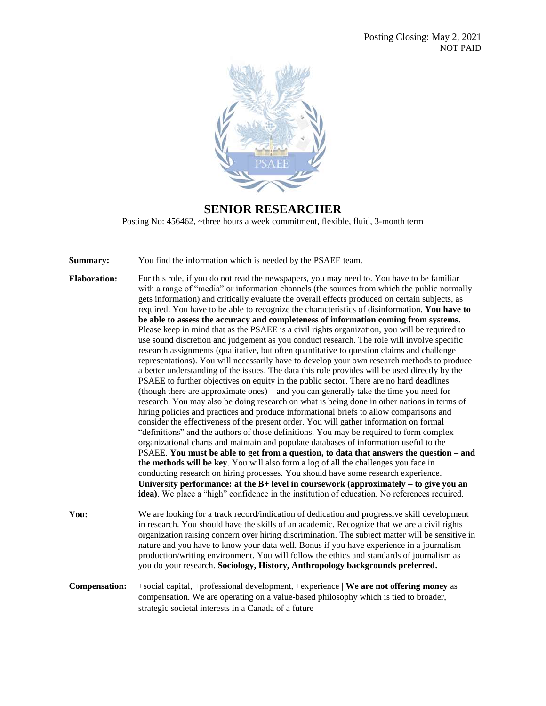

## **SENIOR RESEARCHER**

Posting No: 456462, ~three hours a week commitment, flexible, fluid, 3-month term

**Summary:** You find the information which is needed by the PSAEE team.

- **Elaboration:** For this role, if you do not read the newspapers, you may need to. You have to be familiar with a range of "media" or information channels (the sources from which the public normally gets information) and critically evaluate the overall effects produced on certain subjects, as required. You have to be able to recognize the characteristics of disinformation. **You have to be able to assess the accuracy and completeness of information coming from systems.** Please keep in mind that as the PSAEE is a civil rights organization, you will be required to use sound discretion and judgement as you conduct research. The role will involve specific research assignments (qualitative, but often quantitative to question claims and challenge representations). You will necessarily have to develop your own research methods to produce a better understanding of the issues. The data this role provides will be used directly by the PSAEE to further objectives on equity in the public sector. There are no hard deadlines (though there are approximate ones) – and you can generally take the time you need for research. You may also be doing research on what is being done in other nations in terms of hiring policies and practices and produce informational briefs to allow comparisons and consider the effectiveness of the present order. You will gather information on formal "definitions" and the authors of those definitions. You may be required to form complex organizational charts and maintain and populate databases of information useful to the PSAEE. **You must be able to get from a question, to data that answers the question – and the methods will be key**. You will also form a log of all the challenges you face in conducting research on hiring processes. You should have some research experience. **University performance: at the B+ level in coursework (approximately – to give you an idea)**. We place a "high" confidence in the institution of education. No references required. **You:** We are looking for a track record/indication of dedication and progressive skill development
- in research. You should have the skills of an academic. Recognize that we are a civil rights organization raising concern over hiring discrimination. The subject matter will be sensitive in nature and you have to know your data well. Bonus if you have experience in a journalism production/writing environment. You will follow the ethics and standards of journalism as you do your research. **Sociology, History, Anthropology backgrounds preferred.**
- **Compensation:** +social capital, +professional development, +experience | **We are not offering money** as compensation. We are operating on a value-based philosophy which is tied to broader, strategic societal interests in a Canada of a future